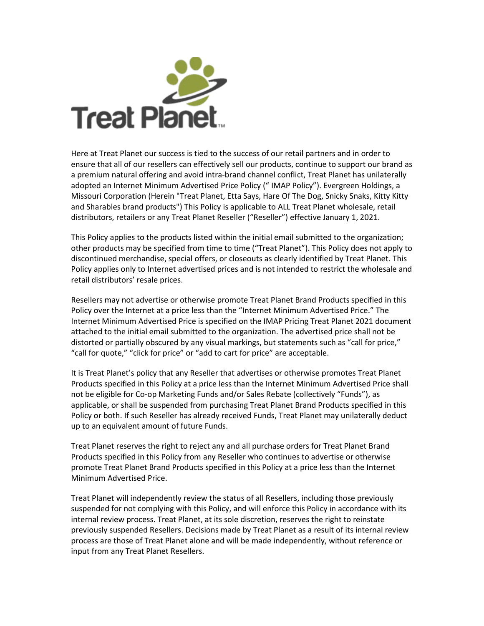

Here at Treat Planet our success is tied to the success of our retail partners and in order to ensure that all of our resellers can effectively sell our products, continue to support our brand as a premium natural offering and avoid intra-brand channel conflict, Treat Planet has unilaterally adopted an Internet Minimum Advertised Price Policy (" IMAP Policy"). Evergreen Holdings, a Missouri Corporation (Herein "Treat Planet, Etta Says, Hare Of The Dog, Snicky Snaks, Kitty Kitty and Sharables brand products") This Policy is applicable to ALL Treat Planet wholesale, retail distributors, retailers or any Treat Planet Reseller ("Reseller") effective January 1, 2021.

This Policy applies to the products listed within the initial email submitted to the organization; other products may be specified from time to time ("Treat Planet"). This Policy does not apply to discontinued merchandise, special offers, or closeouts as clearly identified by Treat Planet. This Policy applies only to Internet advertised prices and is not intended to restrict the wholesale and retail distributors' resale prices.

Resellers may not advertise or otherwise promote Treat Planet Brand Products specified in this Policy over the Internet at a price less than the "Internet Minimum Advertised Price." The Internet Minimum Advertised Price is specified on the IMAP Pricing Treat Planet 2021 document attached to the initial email submitted to the organization. The advertised price shall not be distorted or partially obscured by any visual markings, but statements such as "call for price," "call for quote," "click for price" or "add to cart for price" are acceptable.

It is Treat Planet's policy that any Reseller that advertises or otherwise promotes Treat Planet Products specified in this Policy at a price less than the Internet Minimum Advertised Price shall not be eligible for Co-op Marketing Funds and/or Sales Rebate (collectively "Funds"), as applicable, or shall be suspended from purchasing Treat Planet Brand Products specified in this Policy or both. If such Reseller has already received Funds, Treat Planet may unilaterally deduct up to an equivalent amount of future Funds.

Treat Planet reserves the right to reject any and all purchase orders for Treat Planet Brand Products specified in this Policy from any Reseller who continues to advertise or otherwise promote Treat Planet Brand Products specified in this Policy at a price less than the Internet Minimum Advertised Price.

Treat Planet will independently review the status of all Resellers, including those previously suspended for not complying with this Policy, and will enforce this Policy in accordance with its internal review process. Treat Planet, at its sole discretion, reserves the right to reinstate previously suspended Resellers. Decisions made by Treat Planet as a result of its internal review process are those of Treat Planet alone and will be made independently, without reference or input from any Treat Planet Resellers.